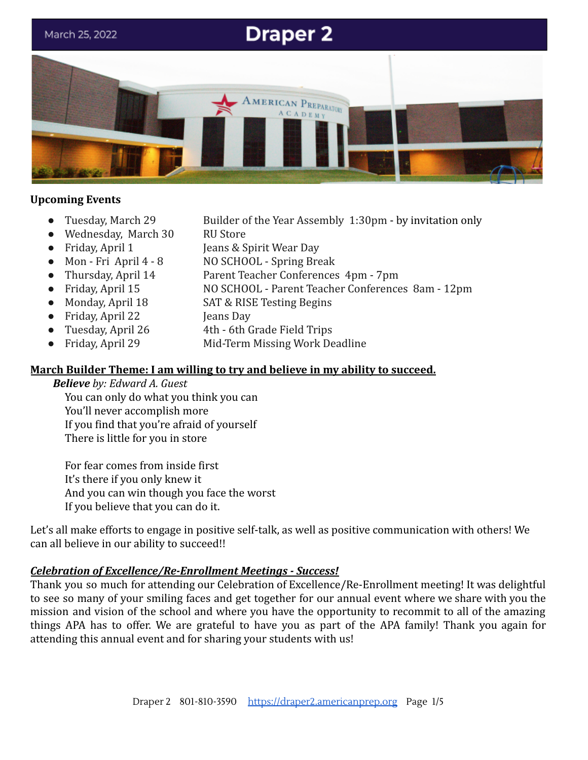

#### **Upcoming Events**

- 
- Wednesday, March 30 RU Store
- 
- 
- 
- 
- 
- Friday, April 22 **Jeans Day**
- 
- 
- Tuesday, March 29 Builder of the Year Assembly 1:30pm by invitation only
	-
- Friday, April 1 Jeans & Spirit Wear Day
- Mon Fri April 4 8 NO SCHOOL Spring Break
- Thursday, April 14 Parent Teacher Conferences 4pm 7pm
- Friday, April 15 NO SCHOOL Parent Teacher Conferences 8am 12pm
- Monday, April 18 SAT & RISE Testing Begins
	-
- Tuesday, April 26 4th 6th Grade Field Trips
- Friday, April 29 Mid-Term Missing Work Deadline

## **March Builder Theme: I am willing to try and believe in my ability to succeed.**

#### *Believe by: Edward A. Guest*

You can only do what you think you can You'll never accomplish more If you find that you're afraid of yourself There is little for you in store

For fear comes from inside first It's there if you only knew it And you can win though you face the worst If you believe that you can do it.

Let's all make efforts to engage in positive self-talk, as well as positive communication with others! We can all believe in our ability to succeed!!

## *Celebration of Excellence/Re-Enrollment Meetings - Success!*

Thank you so much for attending our Celebration of Excellence/Re-Enrollment meeting! It was delightful to see so many of your smiling faces and get together for our annual event where we share with you the mission and vision of the school and where you have the opportunity to recommit to all of the amazing things APA has to offer. We are grateful to have you as part of the APA family! Thank you again for attending this annual event and for sharing your students with us!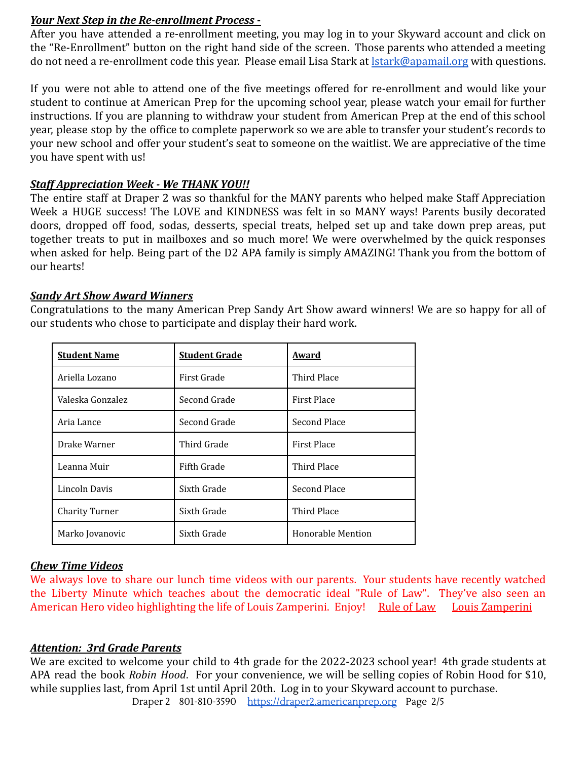### *Your Next Step in the Re-enrollment Process* **-**

After you have attended a re-enrollment meeting, you may log in to your Skyward account and click on the "Re-Enrollment" button on the right hand side of the screen. Those parents who attended a meeting do not need a re-enrollment code this year. Please email Lisa Stark at [lstark@apamail.org](mailto:lstark@apamail.org) with questions.

If you were not able to attend one of the five meetings offered for re-enrollment and would like your student to continue at American Prep for the upcoming school year, please watch your email for further instructions. If you are planning to withdraw your student from American Prep at the end of this school year, please stop by the office to complete paperwork so we are able to transfer your student's records to your new school and offer your student's seat to someone on the waitlist. We are appreciative of the time you have spent with us!

## *Staff Appreciation Week - We THANK YOU!!*

The entire staff at Draper 2 was so thankful for the MANY parents who helped make Staff Appreciation Week a HUGE success! The LOVE and KINDNESS was felt in so MANY ways! Parents busily decorated doors, dropped off food, sodas, desserts, special treats, helped set up and take down prep areas, put together treats to put in mailboxes and so much more! We were overwhelmed by the quick responses when asked for help. Being part of the D2 APA family is simply AMAZING! Thank you from the bottom of our hearts!

## *Sandy Art Show Award Winners*

Congratulations to the many American Prep Sandy Art Show award winners! We are so happy for all of our students who chose to participate and display their hard work.

| <b>Student Name</b>   | <b>Student Grade</b> | <b>Award</b>             |
|-----------------------|----------------------|--------------------------|
| Ariella Lozano        | First Grade          | Third Place              |
| Valeska Gonzalez      | Second Grade         | <b>First Place</b>       |
| Aria Lance            | Second Grade         | Second Place             |
| Drake Warner          | Third Grade          | <b>First Place</b>       |
| Leanna Muir           | Fifth Grade          | Third Place              |
| Lincoln Davis         | Sixth Grade          | Second Place             |
| <b>Charity Turner</b> | Sixth Grade          | Third Place              |
| Marko Jovanovic       | Sixth Grade          | <b>Honorable Mention</b> |

## *Chew Time Videos*

We always love to share our lunch time videos with our parents. Your students have recently watched the Liberty Minute which teaches about the democratic ideal "Rule of Law". They've also seen an American Hero video highlighting the life of Louis Zamperini. Enjoy! [Rule of Law](https://vimeo.com/684017861) [Louis Zamperini](https://vimeo.com/690109397)

### *Attention: 3rd Grade Parents*

We are excited to welcome your child to 4th grade for the 2022-2023 school year! 4th grade students at APA read the book *Robin Hood*. For your convenience, we will be selling copies of Robin Hood for \$10, while supplies last, from April 1st until April 20th. Log in to your Skyward account to purchase.

Draper 2 801-810-3590 [https://draper2.americanprep.org](https://draper2.americanprep.org/) Page 2/5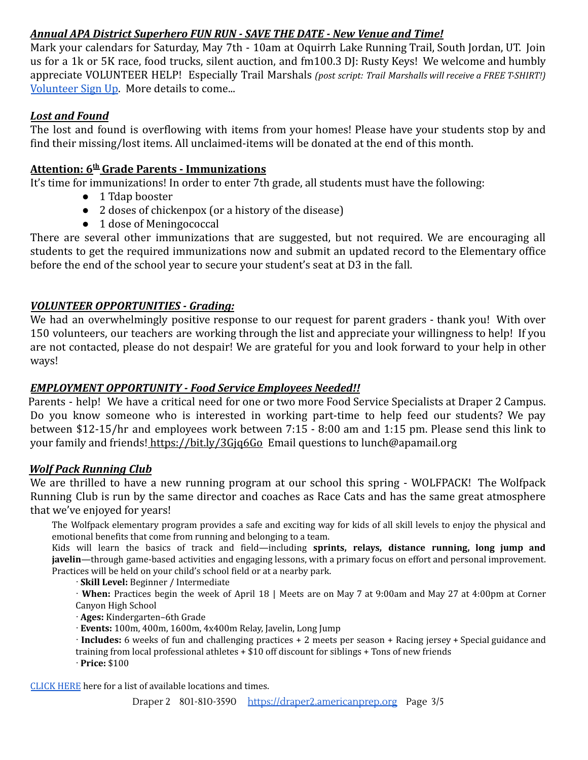# *Annual APA District Superhero FUN RUN - SAVE THE DATE - New Venue and Time!*

Mark your calendars for Saturday, May 7th - 10am at Oquirrh Lake Running Trail, South Jordan, UT. Join us for a 1k or 5K race, food trucks, silent auction, and fm100.3 DJ: Rusty Keys! We welcome and humbly appreciate VOLUNTEER HELP! Especially Trail Marshals *(post script: Trail Marshalls will receive a FREE T-SHIRT!)* [Volunteer Sign Up](https://www.signupgenius.com/go/20F0548A5AD23A5FD0-apasuper1). More details to come...

## *Lost and Found*

The lost and found is overflowing with items from your homes! Please have your students stop by and find their missing/lost items. All unclaimed-items will be donated at the end of this month.

## **Attention: 6th Grade Parents - Immunizations**

It's time for immunizations! In order to enter 7th grade, all students must have the following:

- 1 Tdap booster
- 2 doses of chickenpox (or a history of the disease)
- 1 dose of Meningococcal

There are several other immunizations that are suggested, but not required. We are encouraging all students to get the required immunizations now and submit an updated record to the Elementary office before the end of the school year to secure your student's seat at D3 in the fall.

## *VOLUNTEER OPPORTUNITIES - Grading:*

We had an overwhelmingly positive response to our request for parent graders - thank you! With over 150 volunteers, our teachers are working through the list and appreciate your willingness to help! If you are not contacted, please do not despair! We are grateful for you and look forward to your help in other ways!

## *EMPLOYMENT OPPORTUNITY - Food Service Employees Needed!!*

Parents - help! We have a critical need for one or two more Food Service Specialists at Draper 2 Campus. Do you know someone who is interested in working part-time to help feed our students? We pay between \$12-15/hr and employees work between 7:15 - 8:00 am and 1:15 pm. Please send this link to your family and friends! <https://bit.ly/3Gjq6Go> Email questions to lunch@apamail.org

### *Wolf Pack Running Club*

We are thrilled to have a new running program at our school this spring - WOLFPACK! The Wolfpack Running Club is run by the same director and coaches as Race Cats and has the same great atmosphere that we've enjoyed for years!

The Wolfpack elementary program provides a safe and exciting way for kids of all skill levels to enjoy the physical and emotional benefits that come from running and belonging to a team.

Kids will learn the basics of track and field—including **sprints, relays, distance running, long jump and javelin**—through game-based activities and engaging lessons, with a primary focus on effort and personal improvement. Practices will be held on your child's school field or at a nearby park.

· **Skill Level:** Beginner / Intermediate

· **When:** Practices begin the week of April 18 | Meets are on May 7 at 9:00am and May 27 at 4:00pm at Corner Canyon High School

· **Ages:** Kindergarten–6th Grade

- · **Events:** 100m, 400m, 1600m, 4x400m Relay, Javelin, Long Jump
- · **Includes:** 6 weeks of fun and challenging practices + 2 meets per season + Racing jersey + Special guidance and training from local professional athletes + \$10 off discount for siblings + Tons of new friends

· **Price:** \$100

[CLICK](https://wolfpackrunning.org/services/elementary/) HERE here for a list of available locations and times.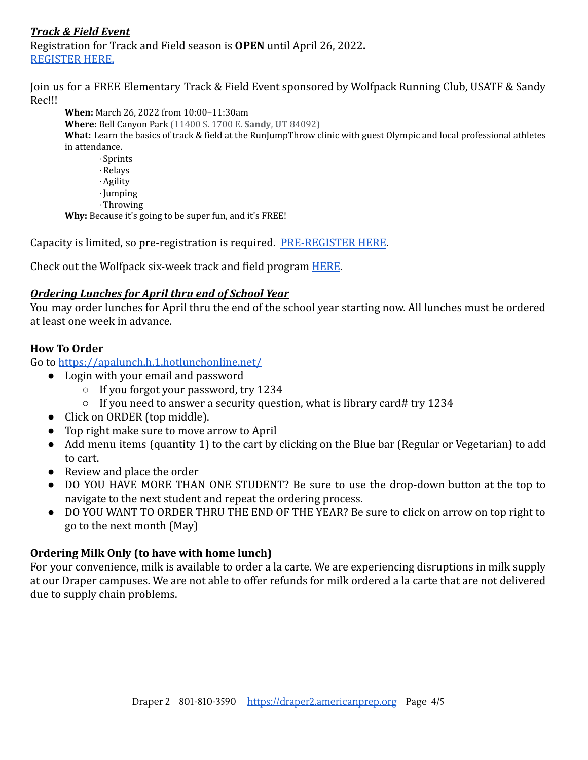## *Track & Field Event*

Registration for Track and Field season is **OPEN** until April 26, 2022**.** [REGISTER HERE.](https://go.teamsnap.com/forms/300832)

Join us for a FREE Elementary Track & Field Event sponsored by Wolfpack Running Club, USATF & Sandy Rec!!!

**When:** March 26, 2022 from 10:00–11:30am **Where:** Bell Canyon Park (11400 S. 1700 E. **Sandy**, **UT** 84092) **What:** Learn the basics of track & field at the RunJumpThrow clinic with guest Olympic and local professional athletes in attendance. · Sprints

·Relays ·Agility ·Jumping ·Throwing

**Why:** Because it's going to be super fun, and it's FREE!

Capacity is limited, so pre-registration is required. [PRE-REGISTER HERE](https://go.teamsnap.com/forms/304488).

Check out the Wolfpack six-week track and field program [HERE](https://wolfpackrunning.org/services/elementary/).

### *Ordering Lunches for April thru end of School Year*

You may order lunches for April thru the end of the school year starting now. All lunches must be ordered at least one week in advance.

### **How To Order**

Go to <https://apalunch.h.1.hotlunchonline.net/>

- Login with your email and password
	- If you forgot your password, try 1234
	- If you need to answer a security question, what is library card# try 1234
- Click on ORDER (top middle).
- Top right make sure to move arrow to April
- Add menu items (quantity 1) to the cart by clicking on the Blue bar (Regular or Vegetarian) to add to cart.
- Review and place the order
- DO YOU HAVE MORE THAN ONE STUDENT? Be sure to use the drop-down button at the top to navigate to the next student and repeat the ordering process.
- DO YOU WANT TO ORDER THRU THE END OF THE YEAR? Be sure to click on arrow on top right to go to the next month (May)

### **Ordering Milk Only (to have with home lunch)**

For your convenience, milk is available to order a la carte. We are experiencing disruptions in milk supply at our Draper campuses. We are not able to offer refunds for milk ordered a la carte that are not delivered due to supply chain problems.